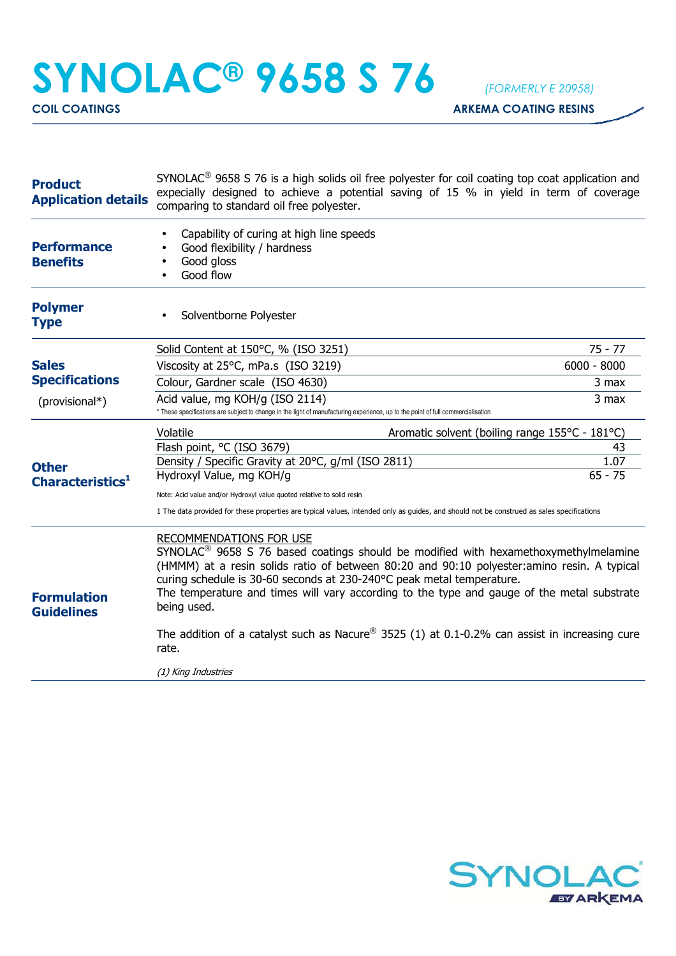## **SYNOLAC® 9658 S 76** *(FORMERLY E 20958)*

**COIL COATINGS COIL COATINGS** 

| <b>Product</b><br><b>Application details</b> | $SYNOLAC®$ 9658 S 76 is a high solids oil free polyester for coil coating top coat application and<br>expecially designed to achieve a potential saving of 15 % in yield in term of coverage<br>comparing to standard oil free polyester.                                                                                                                                                                                                                                                                                                          |                                                |
|----------------------------------------------|----------------------------------------------------------------------------------------------------------------------------------------------------------------------------------------------------------------------------------------------------------------------------------------------------------------------------------------------------------------------------------------------------------------------------------------------------------------------------------------------------------------------------------------------------|------------------------------------------------|
| <b>Performance</b><br><b>Benefits</b>        | Capability of curing at high line speeds<br>Good flexibility / hardness<br>Good gloss<br>Good flow                                                                                                                                                                                                                                                                                                                                                                                                                                                 |                                                |
| <b>Polymer</b><br><b>Type</b>                | Solventborne Polyester                                                                                                                                                                                                                                                                                                                                                                                                                                                                                                                             |                                                |
|                                              | Solid Content at 150°C, % (ISO 3251)                                                                                                                                                                                                                                                                                                                                                                                                                                                                                                               | 75 - 77                                        |
| <b>Sales</b>                                 | Viscosity at 25°C, mPa.s (ISO 3219)                                                                                                                                                                                                                                                                                                                                                                                                                                                                                                                | $6000 - 8000$                                  |
| <b>Specifications</b>                        | Colour, Gardner scale (ISO 4630)                                                                                                                                                                                                                                                                                                                                                                                                                                                                                                                   | 3 max                                          |
| (provisional*)                               | Acid value, mg KOH/g (ISO 2114)<br>* These specifications are subject to change in the light of manufacturing experience, up to the point of full commercialisation                                                                                                                                                                                                                                                                                                                                                                                | 3 max                                          |
| <b>Other</b><br>Characteristics <sup>1</sup> | Volatile                                                                                                                                                                                                                                                                                                                                                                                                                                                                                                                                           | Aromatic solvent (boiling range 155°C - 181°C) |
|                                              | Flash point, °C (ISO 3679)                                                                                                                                                                                                                                                                                                                                                                                                                                                                                                                         | 43                                             |
|                                              | Density / Specific Gravity at 20°C, g/ml (ISO 2811)                                                                                                                                                                                                                                                                                                                                                                                                                                                                                                | 1.07<br>$65 - 75$                              |
|                                              | Hydroxyl Value, mg KOH/g                                                                                                                                                                                                                                                                                                                                                                                                                                                                                                                           |                                                |
|                                              | Note: Acid value and/or Hydroxyl value quoted relative to solid resin<br>1 The data provided for these properties are typical values, intended only as guides, and should not be construed as sales specifications                                                                                                                                                                                                                                                                                                                                 |                                                |
| <b>Formulation</b><br><b>Guidelines</b>      | RECOMMENDATIONS FOR USE<br>$SYNOLAC®$ 9658 S 76 based coatings should be modified with hexamethoxymethylmelamine<br>(HMMM) at a resin solids ratio of between 80:20 and 90:10 polyester: amino resin. A typical<br>curing schedule is 30-60 seconds at 230-240°C peak metal temperature.<br>The temperature and times will vary according to the type and gauge of the metal substrate<br>being used.<br>The addition of a catalyst such as Nacure <sup>®</sup> 3525 (1) at 0.1-0.2% can assist in increasing cure<br>rate.<br>(1) King Industries |                                                |